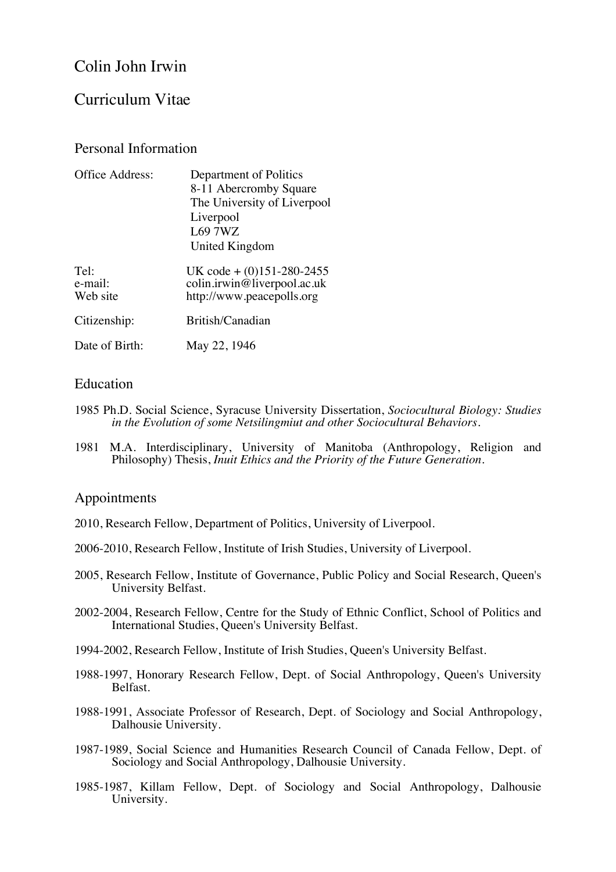# Colin John Irwin

## Curriculum Vitae

## Personal Information

| Department of Politics<br>8-11 Abercromby Square<br>The University of Liverpool<br>Liverpool<br>L69 7WZ<br>United Kingdom |
|---------------------------------------------------------------------------------------------------------------------------|
| UK code + $(0)$ 151-280-2455<br>colin.irwin@liverpool.ac.uk<br>http://www.peacepolls.org                                  |
| British/Canadian                                                                                                          |
| May 22, 1946                                                                                                              |
|                                                                                                                           |

## **Education**

- 1985 Ph.D. Social Science, Syracuse University Dissertation, *Sociocultural Biology: Studies in the Evolution of some Netsilingmiut and other Sociocultural Behaviors.*
- 1981 M.A. Interdisciplinary, University of Manitoba (Anthropology, Religion and Philosophy) Thesis, *Inuit Ethics and the Priority of the Future Generation.*

### Appointments

- 2010, Research Fellow, Department of Politics, University of Liverpool.
- 2006-2010, Research Fellow, Institute of Irish Studies, University of Liverpool.
- 2005, Research Fellow, Institute of Governance, Public Policy and Social Research, Queen's University Belfast.
- 2002-2004, Research Fellow, Centre for the Study of Ethnic Conflict, School of Politics and International Studies, Queen's University Belfast.
- 1994-2002, Research Fellow, Institute of Irish Studies, Queen's University Belfast.
- 1988-1997, Honorary Research Fellow, Dept. of Social Anthropology, Queen's University Belfast.
- 1988-1991, Associate Professor of Research, Dept. of Sociology and Social Anthropology, Dalhousie University.
- 1987-1989, Social Science and Humanities Research Council of Canada Fellow, Dept. of Sociology and Social Anthropology, Dalhousie University.
- 1985-1987, Killam Fellow, Dept. of Sociology and Social Anthropology, Dalhousie University.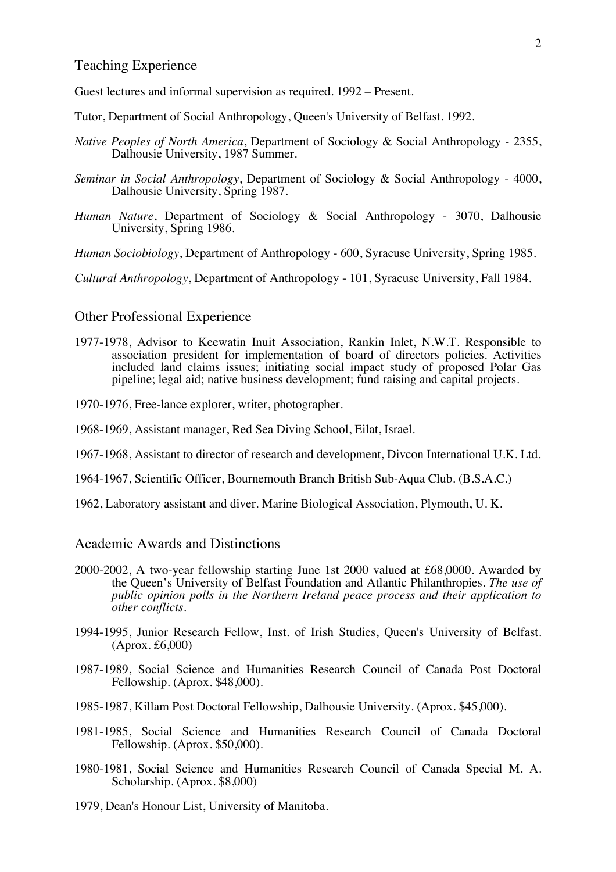## Teaching Experience

Guest lectures and informal supervision as required. 1992 – Present.

- Tutor, Department of Social Anthropology, Queen's University of Belfast. 1992.
- *Native Peoples of North America*, Department of Sociology & Social Anthropology 2355, Dalhousie University, 1987 Summer.
- *Seminar in Social Anthropology*, Department of Sociology & Social Anthropology 4000, Dalhousie University, Spring 1987.
- *Human Nature*, Department of Sociology & Social Anthropology 3070, Dalhousie University, Spring 1986.

*Human Sociobiology*, Department of Anthropology - 600, Syracuse University, Spring 1985.

*Cultural Anthropology*, Department of Anthropology - 101, Syracuse University, Fall 1984.

### Other Professional Experience

- 1977-1978, Advisor to Keewatin Inuit Association, Rankin Inlet, N.W.T. Responsible to association president for implementation of board of directors policies. Activities included land claims issues; initiating social impact study of proposed Polar Gas pipeline; legal aid; native business development; fund raising and capital projects.
- 1970-1976, Free-lance explorer, writer, photographer.
- 1968-1969, Assistant manager, Red Sea Diving School, Eilat, Israel.
- 1967-1968, Assistant to director of research and development, Divcon International U.K. Ltd.
- 1964-1967, Scientific Officer, Bournemouth Branch British Sub-Aqua Club. (B.S.A.C.)
- 1962, Laboratory assistant and diver. Marine Biological Association, Plymouth, U. K.

#### Academic Awards and Distinctions

- 2000-2002, A two-year fellowship starting June 1st 2000 valued at £68,0000. Awarded by the Queen's University of Belfast Foundation and Atlantic Philanthropies. *The use of public opinion polls in the Northern Ireland peace process and their application to other conflicts.*
- 1994-1995, Junior Research Fellow, Inst. of Irish Studies, Queen's University of Belfast. (Aprox. £6,000)
- 1987-1989, Social Science and Humanities Research Council of Canada Post Doctoral Fellowship. (Aprox. \$48,000).
- 1985-1987, Killam Post Doctoral Fellowship, Dalhousie University. (Aprox. \$45,000).
- 1981-1985, Social Science and Humanities Research Council of Canada Doctoral Fellowship. (Aprox. \$50,000).
- 1980-1981, Social Science and Humanities Research Council of Canada Special M. A. Scholarship. (Aprox. \$8,000)
- 1979, Dean's Honour List, University of Manitoba.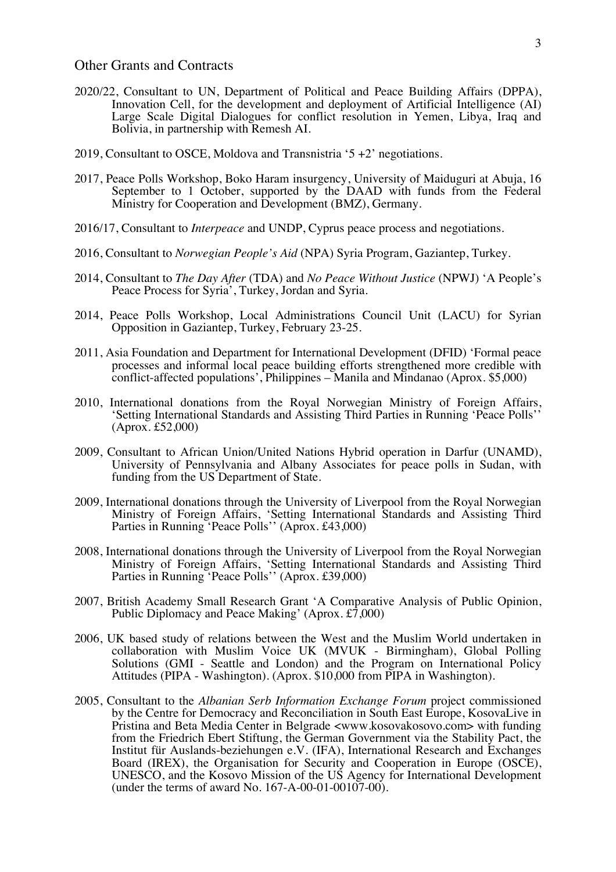#### Other Grants and Contracts

- 2020/22, Consultant to UN, Department of Political and Peace Building Affairs (DPPA), Innovation Cell, for the development and deployment of Artificial Intelligence (AI) Large Scale Digital Dialogues for conflict resolution in Yemen, Libya, Iraq and Bolivia, in partnership with Remesh AI.
- 2019, Consultant to OSCE, Moldova and Transnistria '5 +2' negotiations.
- 2017, Peace Polls Workshop, Boko Haram insurgency, University of Maiduguri at Abuja, 16 September to 1 October, supported by the DAAD with funds from the Federal Ministry for Cooperation and Development (BMZ), Germany.
- 2016/17, Consultant to *Interpeace* and UNDP, Cyprus peace process and negotiations.
- 2016, Consultant to *Norwegian People's Aid* (NPA) Syria Program, Gaziantep, Turkey.
- 2014, Consultant to *The Day After* (TDA) and *No Peace Without Justice* (NPWJ) 'A People's Peace Process for Syria<sup>'</sup>, Turkey, Jordan and Syria.
- 2014, Peace Polls Workshop, Local Administrations Council Unit (LACU) for Syrian Opposition in Gaziantep, Turkey, February 23-25.
- 2011, Asia Foundation and Department for International Development (DFID) 'Formal peace processes and informal local peace building efforts strengthened more credible with conflict-affected populations', Philippines – Manila and Mindanao (Aprox. \$5,000)
- 2010, International donations from the Royal Norwegian Ministry of Foreign Affairs, 'Setting International Standards and Assisting Third Parties in Running 'Peace Polls'' (Aprox. £52,000)
- 2009, Consultant to African Union/United Nations Hybrid operation in Darfur (UNAMD), University of Pennsylvania and Albany Associates for peace polls in Sudan, with funding from the US Department of State.
- 2009, International donations through the University of Liverpool from the Royal Norwegian Ministry of Foreign Affairs, 'Setting International Standards and Assisting Third Parties in Running 'Peace Polls'' (Aprox. £43,000)
- 2008, International donations through the University of Liverpool from the Royal Norwegian Ministry of Foreign Affairs, 'Setting International Standards and Assisting Third Parties in Running 'Peace Polls'' (Aprox. £39,000)
- 2007, British Academy Small Research Grant 'A Comparative Analysis of Public Opinion, Public Diplomacy and Peace Making' (Aprox. £7,000)
- 2006, UK based study of relations between the West and the Muslim World undertaken in collaboration with Muslim Voice UK (MVUK - Birmingham), Global Polling Solutions (GMI - Seattle and London) and the Program on International Policy Attitudes (PIPA - Washington). (Aprox. \$10,000 from PIPA in Washington).
- 2005, Consultant to the *Albanian Serb Information Exchange Forum* project commissioned by the Centre for Democracy and Reconciliation in South East Europe, KosovaLive in Pristina and Beta Media Center in Belgrade <www.kosovakosovo.com> with funding from the Friedrich Ebert Stiftung, the German Government via the Stability Pact, the Institut für Auslands-beziehungen e.V. (IFA), International Research and Exchanges Board (IREX), the Organisation for Security and Cooperation in Europe (OSCE), UNESCO, and the Kosovo Mission of the US Agency for International Development (under the terms of award No. 167-A-00-01-00107-00).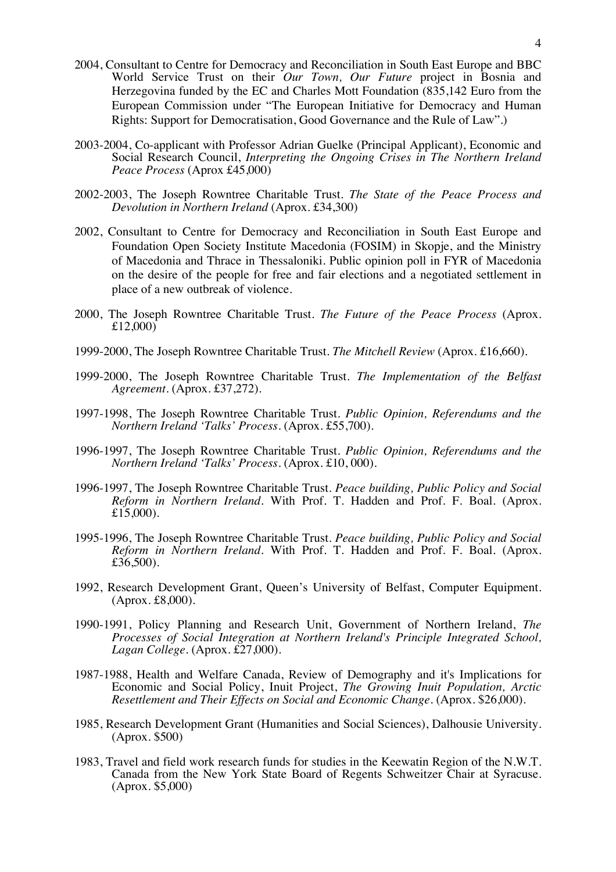- 2004, Consultant to Centre for Democracy and Reconciliation in South East Europe and BBC World Service Trust on their *Our Town, Our Future* project in Bosnia and Herzegovina funded by the EC and Charles Mott Foundation (835,142 Euro from the European Commission under "The European Initiative for Democracy and Human Rights: Support for Democratisation, Good Governance and the Rule of Law".)
- 2003-2004, Co-applicant with Professor Adrian Guelke (Principal Applicant), Economic and Social Research Council, *Interpreting the Ongoing Crises in The Northern Ireland Peace Process* (Aprox £45,000)
- 2002-2003, The Joseph Rowntree Charitable Trust. *The State of the Peace Process and Devolution in Northern Ireland* (Aprox. £34,300)
- 2002, Consultant to Centre for Democracy and Reconciliation in South East Europe and Foundation Open Society Institute Macedonia (FOSIM) in Skopje, and the Ministry of Macedonia and Thrace in Thessaloniki. Public opinion poll in FYR of Macedonia on the desire of the people for free and fair elections and a negotiated settlement in place of a new outbreak of violence.
- 2000, The Joseph Rowntree Charitable Trust. *The Future of the Peace Process* (Aprox. £12,000)
- 1999-2000, The Joseph Rowntree Charitable Trust. *The Mitchell Review* (Aprox. £16,660).
- 1999-2000, The Joseph Rowntree Charitable Trust. *The Implementation of the Belfast Agreement*. (Aprox. £37,272).
- 1997-1998, The Joseph Rowntree Charitable Trust. *Public Opinion, Referendums and the Northern Ireland 'Talks' Process.* (Aprox. £55,700).
- 1996-1997, The Joseph Rowntree Charitable Trust. *Public Opinion, Referendums and the Northern Ireland 'Talks' Process.* (Aprox. £10, 000).
- 1996-1997, The Joseph Rowntree Charitable Trust. *Peace building, Public Policy and Social Reform in Northern Ireland.* With Prof. T. Hadden and Prof. F. Boal. (Aprox. £15,000).
- 1995-1996, The Joseph Rowntree Charitable Trust. *Peace building, Public Policy and Social Reform in Northern Ireland.* With Prof. T. Hadden and Prof. F. Boal. (Aprox. £ $36,500$ ).
- 1992, Research Development Grant, Queen's University of Belfast, Computer Equipment. (Aprox. £8,000).
- 1990-1991, Policy Planning and Research Unit, Government of Northern Ireland, *The Processes of Social Integration at Northern Ireland's Principle Integrated School, Lagan College.* (Aprox. £27,000).
- 1987-1988, Health and Welfare Canada, Review of Demography and it's Implications for Economic and Social Policy, Inuit Project, *The Growing Inuit Population, Arctic Resettlement and Their Effects on Social and Economic Change.* (Aprox. \$26,000).
- 1985, Research Development Grant (Humanities and Social Sciences), Dalhousie University. (Aprox. \$500)
- 1983, Travel and field work research funds for studies in the Keewatin Region of the N.W.T. Canada from the New York State Board of Regents Schweitzer Chair at Syracuse. (Aprox. \$5,000)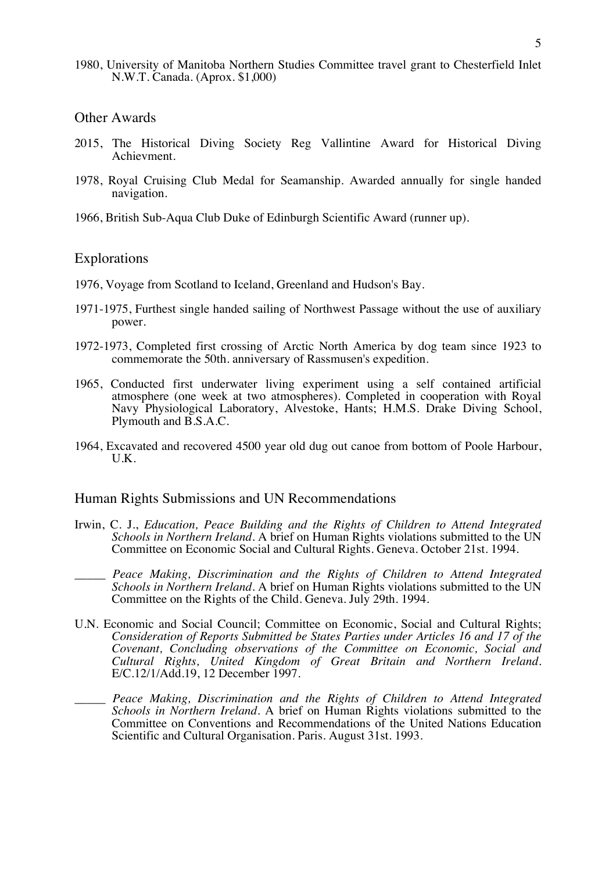1980, University of Manitoba Northern Studies Committee travel grant to Chesterfield Inlet N.W.T. Canada. (Aprox. \$1,000)

#### Other Awards

- 2015, The Historical Diving Society Reg Vallintine Award for Historical Diving Achievment.
- 1978, Royal Cruising Club Medal for Seamanship. Awarded annually for single handed navigation.
- 1966, British Sub-Aqua Club Duke of Edinburgh Scientific Award (runner up).

#### Explorations

- 1976, Voyage from Scotland to Iceland, Greenland and Hudson's Bay.
- 1971-1975, Furthest single handed sailing of Northwest Passage without the use of auxiliary power.
- 1972-1973, Completed first crossing of Arctic North America by dog team since 1923 to commemorate the 50th. anniversary of Rassmusen's expedition.
- 1965, Conducted first underwater living experiment using a self contained artificial atmosphere (one week at two atmospheres). Completed in cooperation with Royal Navy Physiological Laboratory, Alvestoke, Hants; H.M.S. Drake Diving School, Plymouth and B.S.A.C.
- 1964, Excavated and recovered 4500 year old dug out canoe from bottom of Poole Harbour, U.K.

#### Human Rights Submissions and UN Recommendations

- Irwin, C. J., *Education, Peace Building and the Rights of Children to Attend Integrated Schools in Northern Ireland*. A brief on Human Rights violations submitted to the UN Committee on Economic Social and Cultural Rights. Geneva. October 21st. 1994.
- \_\_\_\_\_ *Peace Making, Discrimination and the Rights of Children to Attend Integrated Schools in Northern Ireland*. A brief on Human Rights violations submitted to the UN Committee on the Rights of the Child. Geneva. July 29th. 1994.
- U.N. Economic and Social Council; Committee on Economic, Social and Cultural Rights; *Consideration of Reports Submitted be States Parties under Articles 16 and 17 of the Covenant, Concluding observations of the Committee on Economic, Social and Cultural Rights, United Kingdom of Great Britain and Northern Ireland.*  E/C.12/1/Add.19, 12 December 1997.
- \_\_\_\_\_ *Peace Making, Discrimination and the Rights of Children to Attend Integrated Schools in Northern Ireland*. A brief on Human Rights violations submitted to the Committee on Conventions and Recommendations of the United Nations Education Scientific and Cultural Organisation. Paris. August 31st. 1993.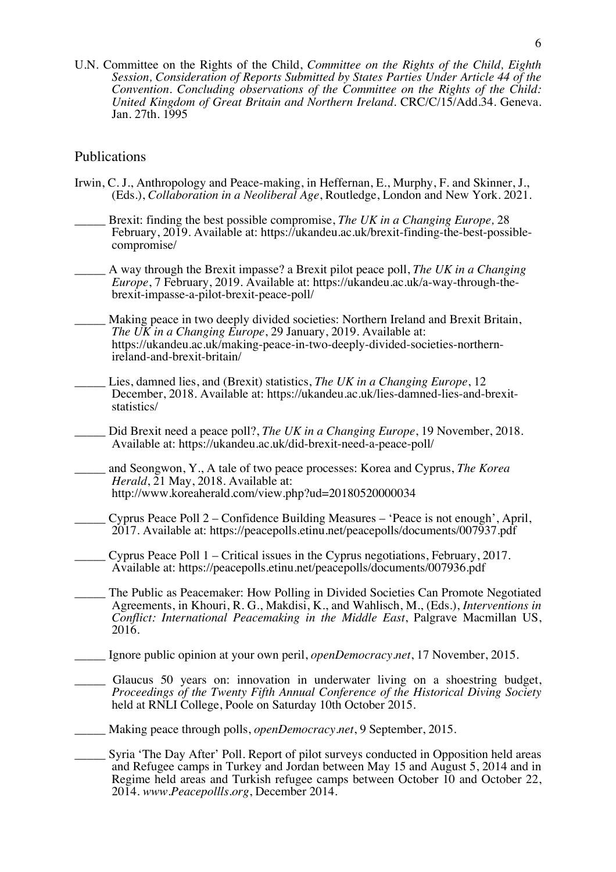U.N. Committee on the Rights of the Child, *Committee on the Rights of the Child, Eighth Session, Consideration of Reports Submitted by States Parties Under Article 44 of the Convention. Concluding observations of the Committee on the Rights of the Child: United Kingdom of Great Britain and Northern Ireland.* CRC/C/15/Add.34. Geneva. Jan. 27th. 1995

#### Publications

- Irwin, C. J., Anthropology and Peace-making, in Heffernan, E., Murphy, F. and Skinner, J., (Eds.), *Collaboration in a Neoliberal Age*, Routledge, London and New York. 2021.
- \_\_\_\_\_ Brexit: finding the best possible compromise, *The UK in a Changing Europe,* 28 February, 2019. Available at: https://ukandeu.ac.uk/brexit-finding-the-best-possiblecompromise/
- \_\_\_\_\_ A way through the Brexit impasse? a Brexit pilot peace poll, *The UK in a Changing Europe*, 7 February, 2019. Available at: https://ukandeu.ac.uk/a-way-through-thebrexit-impasse-a-pilot-brexit-peace-poll/
- Making peace in two deeply divided societies: Northern Ireland and Brexit Britain, *The UK in a Changing Europe*, 29 January, 2019. Available at: https://ukandeu.ac.uk/making-peace-in-two-deeply-divided-societies-northernireland-and-brexit-britain/
- Lies, damned lies, and (Brexit) statistics, *The UK in a Changing Europe*, 12 December, 2018. Available at: https://ukandeu.ac.uk/lies-damned-lies-and-brexitstatistics/
	- Did Brexit need a peace poll?, *The UK in a Changing Europe*, 19 November, 2018. Available at: https://ukandeu.ac.uk/did-brexit-need-a-peace-poll/
- \_\_\_\_\_ and Seongwon, Y., A tale of two peace processes: Korea and Cyprus, *The Korea Herald*, 21 May, 2018. Available at: http://www.koreaherald.com/view.php?ud=20180520000034
- \_\_\_\_\_ Cyprus Peace Poll 2 Confidence Building Measures 'Peace is not enough', April, 2017. Available at: https://peacepolls.etinu.net/peacepolls/documents/007937.pdf
- \_\_\_\_\_ Cyprus Peace Poll 1 Critical issues in the Cyprus negotiations, February, 2017. Available at: https://peacepolls.etinu.net/peacepolls/documents/007936.pdf
- The Public as Peacemaker: How Polling in Divided Societies Can Promote Negotiated Agreements, in Khouri, R. G., Makdisi, K., and Wahlisch, M., (Eds.), *Interventions in Conflict: International Peacemaking in the Middle East*, Palgrave Macmillan US, 2016.
- \_\_\_\_\_ Ignore public opinion at your own peril, *openDemocracy.net*, 17 November, 2015.
- Glaucus 50 years on: innovation in underwater living on a shoestring budget, *Proceedings of the Twenty Fifth Annual Conference of the Historical Diving Society* held at RNLI College, Poole on Saturday 10th October 2015.
- \_\_\_\_\_ Making peace through polls, *openDemocracy.net*, 9 September, 2015.
- \_\_\_\_\_ Syria 'The Day After' Poll. Report of pilot surveys conducted in Opposition held areas and Refugee camps in Turkey and Jordan between May 15 and August 5, 2014 and in Regime held areas and Turkish refugee camps between October 10 and October 22, 2014. *www.Peacepollls.org*, December 2014.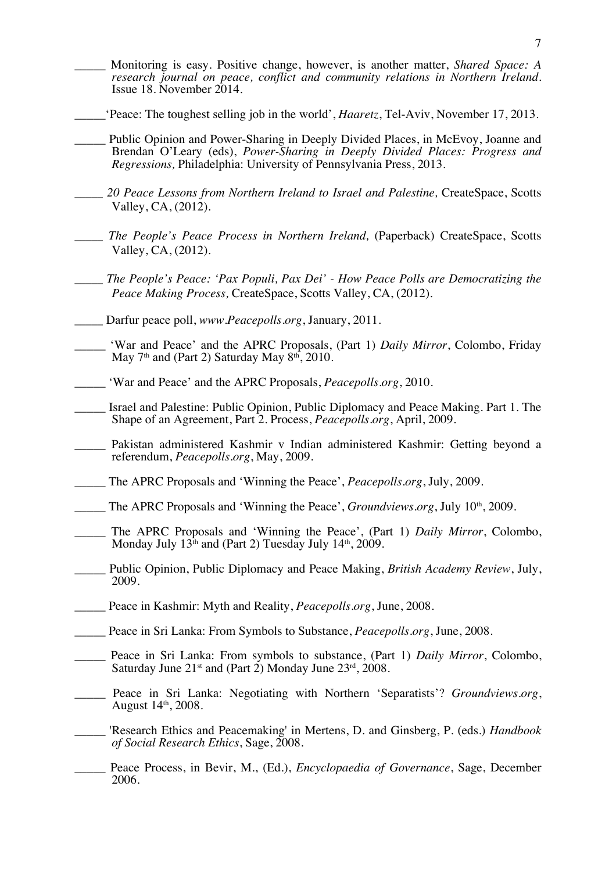- \_\_\_\_\_ Monitoring is easy. Positive change, however, is another matter, *Shared Space: A research journal on peace, conflict and community relations in Northern Ireland*. Issue 18. November 2014.
- \_\_\_\_\_'Peace: The toughest selling job in the world', *Haaretz*, Tel-Aviv, November 17, 2013.
- Public Opinion and Power-Sharing in Deeply Divided Places, in McEvoy, Joanne and Brendan O'Leary (eds), *Power-Sharing in Deeply Divided Places: Progress and Regressions,* Philadelphia: University of Pennsylvania Press, 2013.
- \_\_\_\_\_ *20 Peace Lessons from Northern Ireland to Israel and Palestine,* CreateSpace, Scotts Valley, CA, (2012).
- \_\_\_\_\_ *The People's Peace Process in Northern Ireland,* (Paperback) CreateSpace, Scotts Valley, CA, (2012).
- \_\_\_\_\_ *The People's Peace: 'Pax Populi, Pax Dei' - How Peace Polls are Democratizing the Peace Making Process,* CreateSpace, Scotts Valley, CA, (2012).
- \_\_\_\_\_ Darfur peace poll, *www.Peacepolls.org*, January, 2011.
- 'War and Peace' and the APRC Proposals, (Part 1) *Daily Mirror*, Colombo, Friday May  $7<sup>th</sup>$  and (Part 2) Saturday May  $8<sup>th</sup>$ , 2010.
- \_\_\_\_\_ 'War and Peace' and the APRC Proposals, *Peacepolls.org*, 2010.
- \_\_\_\_\_ Israel and Palestine: Public Opinion, Public Diplomacy and Peace Making. Part 1. The Shape of an Agreement, Part 2. Process, *Peacepolls.org*, April, 2009.
- Pakistan administered Kashmir v Indian administered Kashmir: Getting beyond a referendum, *Peacepolls.org*, May, 2009.
- \_\_\_\_\_ The APRC Proposals and 'Winning the Peace', *Peacepolls.org*, July, 2009.
- \_\_\_\_\_ The APRC Proposals and 'Winning the Peace', *Groundviews.org*, July 10th, 2009.
- The APRC Proposals and 'Winning the Peace', (Part 1) *Daily Mirror*, Colombo, Monday July  $13<sup>th</sup>$  and (Part 2) Tuesday July  $14<sup>th</sup>$ , 2009.
- \_\_\_\_\_ Public Opinion, Public Diplomacy and Peace Making, *British Academy Review*, July, 2009.
- \_\_\_\_\_ Peace in Kashmir: Myth and Reality, *Peacepolls.org*, June, 2008.
- \_\_\_\_\_ Peace in Sri Lanka: From Symbols to Substance, *Peacepolls.org*, June, 2008.
- Peace in Sri Lanka: From symbols to substance, (Part 1) *Daily Mirror*, Colombo, Saturday June  $21<sup>st</sup>$  and (Part 2) Monday June  $23<sup>rd</sup>$ ,  $2008$ .
- Peace in Sri Lanka: Negotiating with Northern 'Separatists'? *Groundviews.org*, August 14th, 2008.
- \_\_\_\_\_ 'Research Ethics and Peacemaking' in Mertens, D. and Ginsberg, P. (eds.) *Handbook of Social Research Ethics*, Sage, 2008.
- Peace Process, in Bevir, M., (Ed.), *Encyclopaedia of Governance*, Sage, December 2006.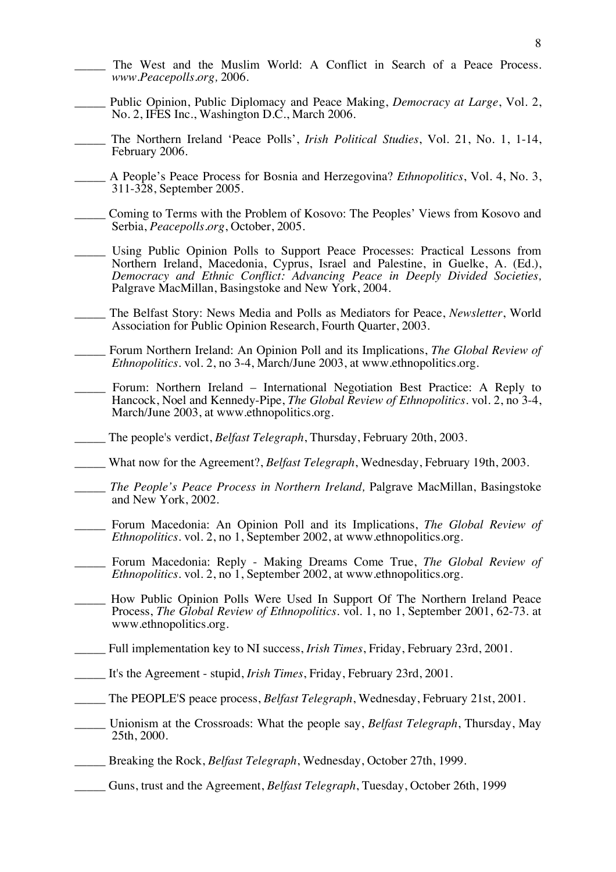- The West and the Muslim World: A Conflict in Search of a Peace Process. *www.Peacepolls.org,* 2006.
- \_\_\_\_\_ Public Opinion, Public Diplomacy and Peace Making, *Democracy at Large*, Vol. 2, No. 2, IFES Inc., Washington D.C., March 2006.
- \_\_\_\_\_ The Northern Ireland 'Peace Polls', *Irish Political Studies*, Vol. 21, No. 1, 1-14, February 2006.
- \_\_\_\_\_ A People's Peace Process for Bosnia and Herzegovina? *Ethnopolitics*, Vol. 4, No. 3, 311-328, September 2005.
- \_\_\_\_\_ Coming to Terms with the Problem of Kosovo: The Peoples' Views from Kosovo and Serbia, *Peacepolls.org*, October, 2005.
- Using Public Opinion Polls to Support Peace Processes: Practical Lessons from Northern Ireland, Macedonia, Cyprus, Israel and Palestine, in Guelke, A. (Ed.), *Democracy and Ethnic Conflict: Advancing Peace in Deeply Divided Societies,*  Palgrave MacMillan, Basingstoke and New York, 2004.
- \_\_\_\_\_ The Belfast Story: News Media and Polls as Mediators for Peace, *Newsletter*, World Association for Public Opinion Research, Fourth Quarter, 2003.
- \_\_\_\_\_ Forum Northern Ireland: An Opinion Poll and its Implications, *The Global Review of Ethnopolitics*. vol. 2, no 3-4, March/June 2003, at www.ethnopolitics.org.
- Forum: Northern Ireland International Negotiation Best Practice: A Reply to Hancock, Noel and Kennedy-Pipe, *The Global Review of Ethnopolitics*. vol. 2, no 3-4, March/June 2003, at www.ethnopolitics.org.
- \_\_\_\_\_ The people's verdict, *Belfast Telegraph*, Thursday, February 20th, 2003.
- \_\_\_\_\_ What now for the Agreement?, *Belfast Telegraph*, Wednesday, February 19th, 2003.
- \_\_\_\_\_ *The People's Peace Process in Northern Ireland,* Palgrave MacMillan, Basingstoke and New York, 2002.
- \_\_\_\_\_ Forum Macedonia: An Opinion Poll and its Implications, *The Global Review of Ethnopolitics*. vol. 2, no 1, September 2002, at www.ethnopolitics.org.
- \_\_\_\_\_ Forum Macedonia: Reply Making Dreams Come True, *The Global Review of Ethnopolitics*. vol. 2, no 1, September 2002, at www.ethnopolitics.org.
- \_\_\_\_\_ How Public Opinion Polls Were Used In Support Of The Northern Ireland Peace Process, *The Global Review of Ethnopolitics*. vol. 1, no 1, September 2001, 62-73. at www.ethnopolitics.org.
- \_\_\_\_\_ Full implementation key to NI success, *Irish Times*, Friday, February 23rd, 2001.
- \_\_\_\_\_ It's the Agreement stupid, *Irish Times*, Friday, February 23rd, 2001.
- \_\_\_\_\_ The PEOPLE'S peace process, *Belfast Telegraph*, Wednesday, February 21st, 2001.
- \_\_\_\_\_ Unionism at the Crossroads: What the people say, *Belfast Telegraph*, Thursday, May 25th, 2000.
- \_\_\_\_\_ Breaking the Rock, *Belfast Telegraph*, Wednesday, October 27th, 1999.
- \_\_\_\_\_ Guns, trust and the Agreement, *Belfast Telegraph*, Tuesday, October 26th, 1999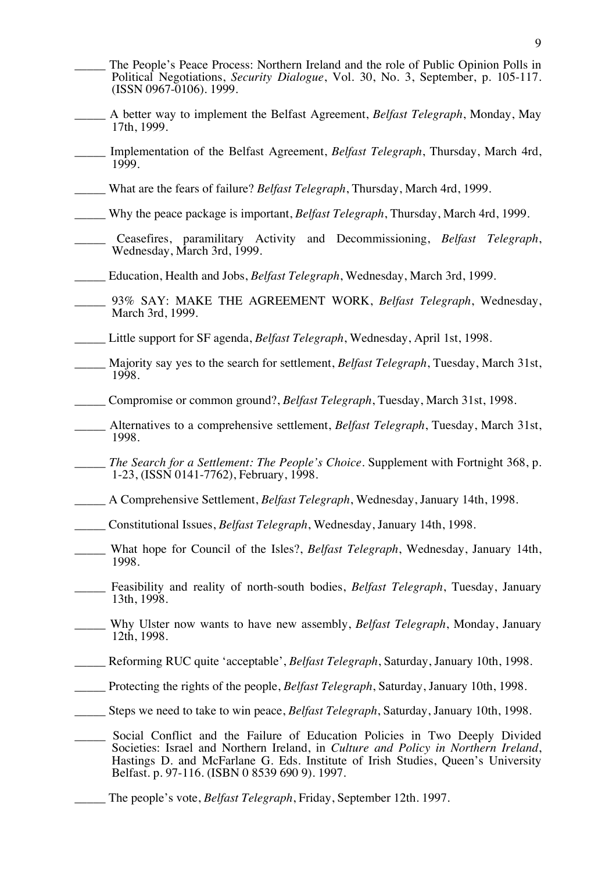$\overline{Q}$ 

- The People's Peace Process: Northern Ireland and the role of Public Opinion Polls in Political Negotiations, *Security Dialogue*, Vol. 30, No. 3, September, p. 105-117. (ISSN 0967-0106). 1999.
- \_\_\_\_\_ A better way to implement the Belfast Agreement, *Belfast Telegraph*, Monday, May 17th, 1999.
- \_\_\_\_\_ Implementation of the Belfast Agreement, *Belfast Telegraph*, Thursday, March 4rd, 1999.
- \_\_\_\_\_ What are the fears of failure? *Belfast Telegraph*, Thursday, March 4rd, 1999.
- \_\_\_\_\_ Why the peace package is important, *Belfast Telegraph*, Thursday, March 4rd, 1999.
- \_\_\_\_\_ Ceasefires, paramilitary Activity and Decommissioning, *Belfast Telegraph*, Wednesday, March 3rd, 1999.
- \_\_\_\_\_ Education, Health and Jobs, *Belfast Telegraph*, Wednesday, March 3rd, 1999.
- \_\_\_\_\_ 93% SAY: MAKE THE AGREEMENT WORK, *Belfast Telegraph*, Wednesday, March 3rd, 1999.
- \_\_\_\_\_ Little support for SF agenda, *Belfast Telegraph*, Wednesday, April 1st, 1998.
- \_\_\_\_\_ Majority say yes to the search for settlement, *Belfast Telegraph*, Tuesday, March 31st, 1998.
- \_\_\_\_\_ Compromise or common ground?, *Belfast Telegraph*, Tuesday, March 31st, 1998.
- \_\_\_\_\_ Alternatives to a comprehensive settlement, *Belfast Telegraph*, Tuesday, March 31st, 1998.
- The Search for a Settlement: The People's Choice. Supplement with Fortnight 368, p. 1-23, (ISSN 0141-7762), February, 1998.
- \_\_\_\_\_ A Comprehensive Settlement, *Belfast Telegraph*, Wednesday, January 14th, 1998.
- \_\_\_\_\_ Constitutional Issues, *Belfast Telegraph*, Wednesday, January 14th, 1998.
- \_\_\_\_\_ What hope for Council of the Isles?, *Belfast Telegraph*, Wednesday, January 14th, 1998.
- \_\_\_\_\_ Feasibility and reality of north-south bodies, *Belfast Telegraph*, Tuesday, January 13th, 1998.
- \_\_\_\_\_ Why Ulster now wants to have new assembly, *Belfast Telegraph*, Monday, January 12th, 1998.
- \_\_\_\_\_ Reforming RUC quite 'acceptable', *Belfast Telegraph*, Saturday, January 10th, 1998.
- \_\_\_\_\_ Protecting the rights of the people, *Belfast Telegraph*, Saturday, January 10th, 1998.
- \_\_\_\_\_ Steps we need to take to win peace, *Belfast Telegraph*, Saturday, January 10th, 1998.
- Social Conflict and the Failure of Education Policies in Two Deeply Divided Societies: Israel and Northern Ireland, in *Culture and Policy in Northern Ireland*, Hastings D. and McFarlane G. Eds. Institute of Irish Studies, Queen's University Belfast. p. 97-116. (ISBN 0 8539 690 9). 1997.
- The people's vote, *Belfast Telegraph*, Friday, September 12th. 1997.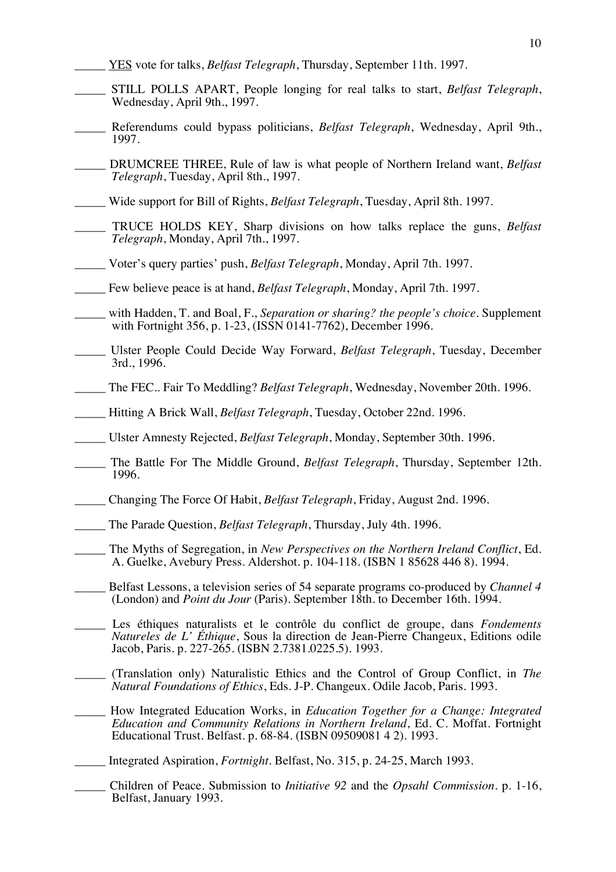- \_\_\_\_\_ YES vote for talks, *Belfast Telegraph*, Thursday, September 11th. 1997.
- \_\_\_\_\_ STILL POLLS APART, People longing for real talks to start, *Belfast Telegraph*, Wednesday, April 9th., 1997.
- \_\_\_\_\_ Referendums could bypass politicians, *Belfast Telegraph*, Wednesday, April 9th., 1997.
- \_\_\_\_\_ DRUMCREE THREE, Rule of law is what people of Northern Ireland want, *Belfast Telegraph*, Tuesday, April 8th., 1997.
- \_\_\_\_\_ Wide support for Bill of Rights, *Belfast Telegraph*, Tuesday, April 8th. 1997.
- \_\_\_\_\_ TRUCE HOLDS KEY, Sharp divisions on how talks replace the guns, *Belfast Telegraph*, Monday, April 7th., 1997.
- \_\_\_\_\_ Voter's query parties' push, *Belfast Telegraph*, Monday, April 7th. 1997.
- \_\_\_\_\_ Few believe peace is at hand, *Belfast Telegraph*, Monday, April 7th. 1997.
- \_\_\_\_\_ with Hadden, T. and Boal, F., *Separation or sharing? the people's choice*. Supplement with Fortnight 356, p. 1-23, (ISSN 0141-7762), December 1996.
- \_\_\_\_\_ Ulster People Could Decide Way Forward, *Belfast Telegraph*, Tuesday, December 3rd., 1996.
- \_\_\_\_\_ The FEC.. Fair To Meddling? *Belfast Telegraph*, Wednesday, November 20th. 1996.
- \_\_\_\_\_ Hitting A Brick Wall, *Belfast Telegraph*, Tuesday, October 22nd. 1996.
- \_\_\_\_\_ Ulster Amnesty Rejected, *Belfast Telegraph*, Monday, September 30th. 1996.
- The Battle For The Middle Ground, *Belfast Telegraph*, Thursday, September 12th. 1996.
- \_\_\_\_\_ Changing The Force Of Habit, *Belfast Telegraph*, Friday, August 2nd. 1996.
- \_\_\_\_\_ The Parade Question, *Belfast Telegraph*, Thursday, July 4th. 1996.
- \_\_\_\_\_ The Myths of Segregation, in *New Perspectives on the Northern Ireland Conflict*, Ed. A. Guelke, Avebury Press. Aldershot. p. 104-118. (ISBN 1 85628 446 8). 1994.
- \_\_\_\_\_ Belfast Lessons, a television series of 54 separate programs co-produced by *Channel 4* (London) and *Point du Jour* (Paris). September 18th. to December 16th. 1994.
- Les éthiques naturalists et le contrôle du conflict de groupe, dans *Fondements Natureles de L' Éthique*, Sous la direction de Jean-Pierre Changeux, Editions odile Jacob, Paris. p. 227-265. (ISBN 2.7381.0225.5). 1993.
- \_\_\_\_\_ (Translation only) Naturalistic Ethics and the Control of Group Conflict, in *The Natural Foundations of Ethics*, Eds. J-P. Changeux. Odile Jacob, Paris. 1993.
- \_\_\_\_\_ How Integrated Education Works, in *Education Together for a Change: Integrated Education and Community Relations in Northern Ireland*, Ed. C. Moffat. Fortnight Educational Trust. Belfast. p. 68-84. (ISBN 09509081 4 2). 1993.
- \_\_\_\_\_ Integrated Aspiration, *Fortnight*. Belfast, No. 315, p. 24-25, March 1993.
- \_\_\_\_\_ Children of Peace. Submission to *Initiative 92* and the *Opsahl Commission*. p. 1-16, Belfast, January 1993.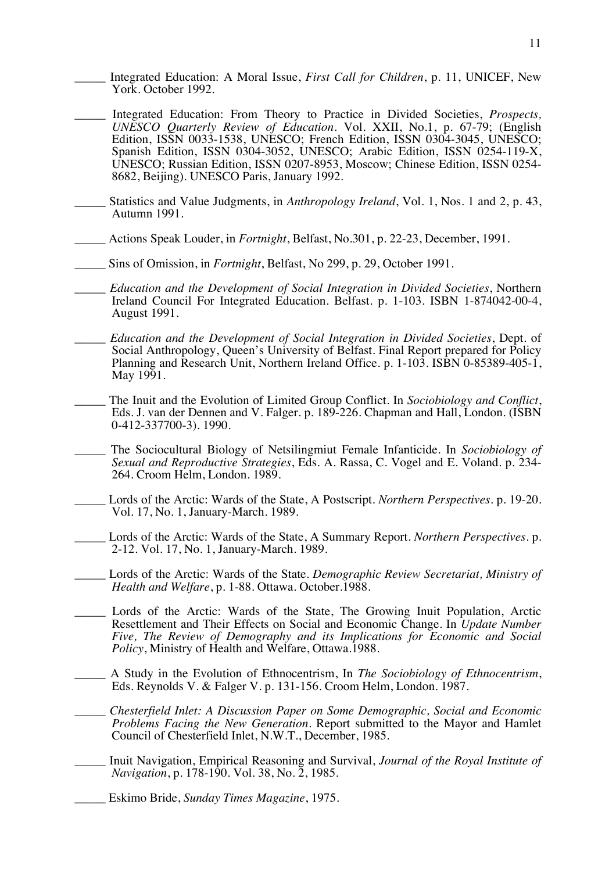- \_\_\_\_\_ Integrated Education: A Moral Issue, *First Call for Children*, p. 11, UNICEF, New York. October 1992.
- \_\_\_\_\_ Integrated Education: From Theory to Practice in Divided Societies, *Prospects, UNESCO Quarterly Review of Education*. Vol. XXII, No.1, p. 67-79; (English Edition, ISSN 0033-1538, UNESCO; French Edition, ISSN 0304-3045, UNESCO; Spanish Edition, ISSN 0304-3052, UNESCO; Arabic Edition, ISSN 0254-119-X, UNESCO; Russian Edition, ISSN 0207-8953, Moscow; Chinese Edition, ISSN 0254- 8682, Beijing). UNESCO Paris, January 1992.
- Statistics and Value Judgments, in *Anthropology Ireland*, Vol. 1, Nos. 1 and 2, p. 43, Autumn 1991.
- \_\_\_\_\_ Actions Speak Louder, in *Fortnight*, Belfast, No.301, p. 22-23, December, 1991.
- \_\_\_\_\_ Sins of Omission, in *Fortnight*, Belfast, No 299, p. 29, October 1991.
- \_\_\_\_\_ *Education and the Development of Social Integration in Divided Societies*, Northern Ireland Council For Integrated Education. Belfast. p. 1-103. ISBN 1-874042-00-4, August 1991.
- \_\_\_\_\_ *Education and the Development of Social Integration in Divided Societies*, Dept. of Social Anthropology, Queen's University of Belfast. Final Report prepared for Policy Planning and Research Unit, Northern Ireland Office. p. 1-103. ISBN 0-85389-405-1, May 1991.
- \_\_\_\_\_ The Inuit and the Evolution of Limited Group Conflict. In *Sociobiology and Conflict*, Eds. J. van der Dennen and V. Falger. p. 189-226. Chapman and Hall, London. (ISBN 0-412-337700-3). 1990.
- \_\_\_\_\_ The Sociocultural Biology of Netsilingmiut Female Infanticide. In *Sociobiology of Sexual and Reproductive Strategies*, Eds. A. Rassa, C. Vogel and E. Voland. p. 234- 264. Croom Helm, London. 1989.
- \_\_\_\_\_ Lords of the Arctic: Wards of the State, A Postscript. *Northern Perspectives*. p. 19-20. Vol. 17, No. 1, January-March. 1989.
- \_\_\_\_\_ Lords of the Arctic: Wards of the State, A Summary Report. *Northern Perspectives*. p. 2-12. Vol. 17, No. 1, January-March. 1989.
- \_\_\_\_\_ Lords of the Arctic: Wards of the State. *Demographic Review Secretariat, Ministry of Health and Welfare*, p. 1-88. Ottawa. October.1988.
- Lords of the Arctic: Wards of the State, The Growing Inuit Population, Arctic Resettlement and Their Effects on Social and Economic Change. In *Update Number Five, The Review of Demography and its Implications for Economic and Social Policy*, Ministry of Health and Welfare, Ottawa.1988.
- \_\_\_\_\_ A Study in the Evolution of Ethnocentrism, In *The Sociobiology of Ethnocentrism*, Eds. Reynolds V. & Falger V. p. 131-156. Croom Helm, London. 1987.
- \_\_\_\_\_ *Chesterfield Inlet: A Discussion Paper on Some Demographic, Social and Economic Problems Facing the New Generation*. Report submitted to the Mayor and Hamlet Council of Chesterfield Inlet, N.W.T., December, 1985.
- \_\_\_\_\_ Inuit Navigation, Empirical Reasoning and Survival, *Journal of the Royal Institute of Navigation*, p. 178-190. Vol. 38, No. 2, 1985.
	- \_\_\_\_\_ Eskimo Bride, *Sunday Times Magazine*, 1975.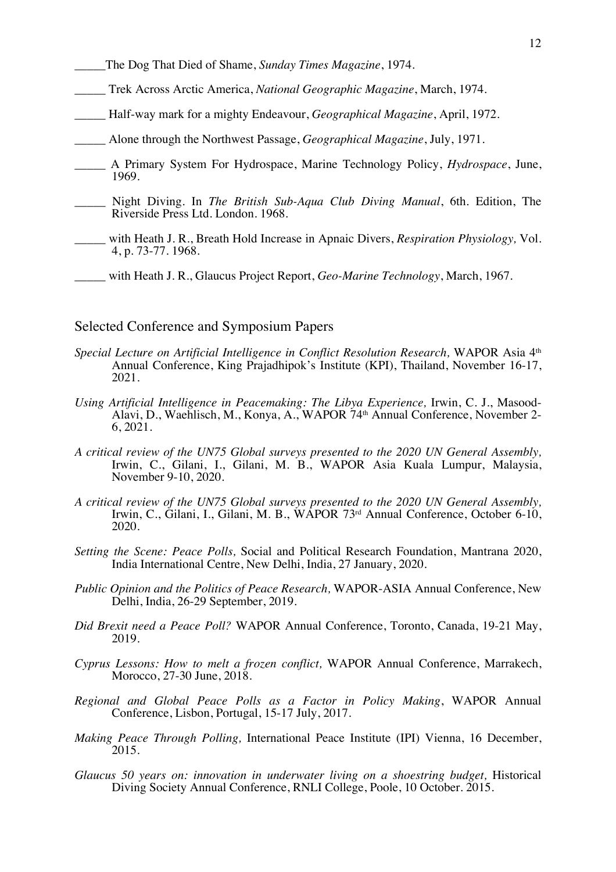- \_\_\_\_\_The Dog That Died of Shame, *Sunday Times Magazine*, 1974.
- \_\_\_\_\_ Trek Across Arctic America, *National Geographic Magazine*, March, 1974.
- \_\_\_\_\_ Half-way mark for a mighty Endeavour, *Geographical Magazine*, April, 1972.
- \_\_\_\_\_ Alone through the Northwest Passage, *Geographical Magazine*, July, 1971.
- \_\_\_\_\_ A Primary System For Hydrospace, Marine Technology Policy, *Hydrospace*, June, 1969.
- \_\_\_\_\_ Night Diving. In *The British Sub-Aqua Club Diving Manual*, 6th. Edition, The Riverside Press Ltd. London. 1968.
- \_\_\_\_\_ with Heath J. R., Breath Hold Increase in Apnaic Divers, *Respiration Physiology,* Vol. 4, p. 73-77. 1968.
- \_\_\_\_\_ with Heath J. R., Glaucus Project Report, *Geo-Marine Technology*, March, 1967.

## Selected Conference and Symposium Papers

- Special Lecture on Artificial Intelligence in Conflict Resolution Research, WAPOR Asia 4<sup>th</sup> Annual Conference, King Prajadhipok's Institute (KPI), Thailand, November 16-17, 2021.
- *Using Artificial Intelligence in Peacemaking: The Libya Experience, Irwin, C. J., Masood-Alavi, D., Waehlisch, M., Konya, A., WAPOR 74<sup>th</sup> Annual Conference, November 2-6, 2021.*
- *A critical review of the UN75 Global surveys presented to the 2020 UN General Assembly,*  Irwin, C., Gilani, I., Gilani, M. B., WAPOR Asia Kuala Lumpur, Malaysia, November 9-10, 2020.
- *A critical review of the UN75 Global surveys presented to the 2020 UN General Assembly,*  Irwin, C., Gilani, I., Gilani, M. B., WAPOR 73rd Annual Conference, October 6-10, 2020.
- *Setting the Scene: Peace Polls,* Social and Political Research Foundation, Mantrana 2020, India International Centre, New Delhi, India, 27 January, 2020.
- *Public Opinion and the Politics of Peace Research,* WAPOR-ASIA Annual Conference, New Delhi, India, 26-29 September, 2019.
- *Did Brexit need a Peace Poll?* WAPOR Annual Conference, Toronto, Canada, 19-21 May, 2019.
- *Cyprus Lessons: How to melt a frozen conflict,* WAPOR Annual Conference, Marrakech, Morocco, 27-30 June, 2018.
- *Regional and Global Peace Polls as a Factor in Policy Making*, WAPOR Annual Conference, Lisbon, Portugal, 15-17 July, 2017.
- *Making Peace Through Polling,* International Peace Institute (IPI) Vienna, 16 December, 2015.
- *Glaucus 50 years on: innovation in underwater living on a shoestring budget,* Historical Diving Society Annual Conference, RNLI College, Poole, 10 October. 2015.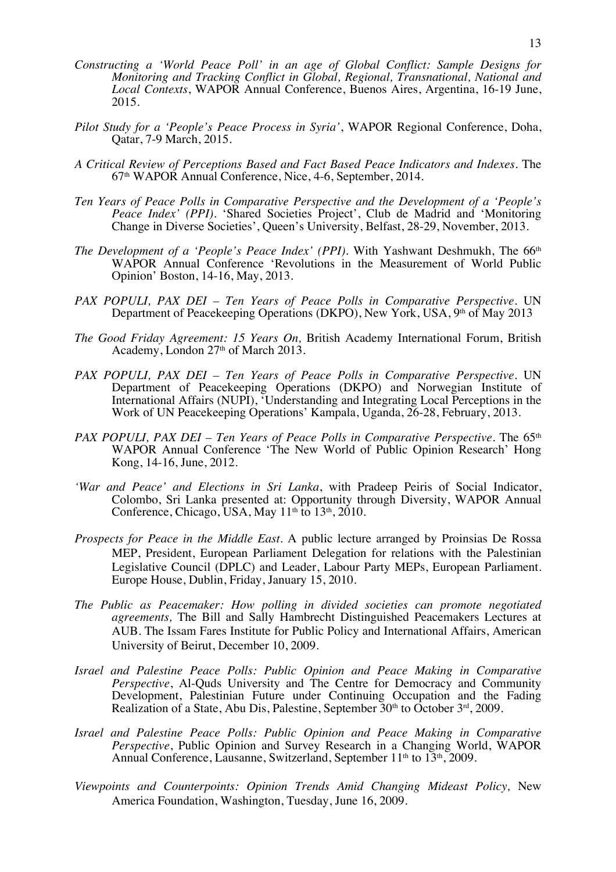- *Constructing a 'World Peace Poll' in an age of Global Conflict: Sample Designs for Monitoring and Tracking Conflict in Global, Regional, Transnational, National and Local Contexts*, WAPOR Annual Conference, Buenos Aires, Argentina, 16-19 June, 2015.
- *Pilot Study for a 'People's Peace Process in Syria'*, WAPOR Regional Conference, Doha, Qatar, 7-9 March, 2015.
- *A Critical Review of Perceptions Based and Fact Based Peace Indicators and Indexes.* The 67th WAPOR Annual Conference, Nice, 4-6, September, 2014.
- *Ten Years of Peace Polls in Comparative Perspective and the Development of a 'People's Peace Index' (PPI).* 'Shared Societies Project', Club de Madrid and 'Monitoring Change in Diverse Societies', Queen's University, Belfast, 28-29, November, 2013.
- *The Development of a 'People's Peace Index' (PPI).* With Yashwant Deshmukh, The 66<sup>th</sup> WAPOR Annual Conference 'Revolutions in the Measurement of World Public Opinion' Boston, 14-16, May, 2013.
- *PAX POPULI, PAX DEI – Ten Years of Peace Polls in Comparative Perspective.* UN Department of Peacekeeping Operations (DKPO), New York, USA, 9th of May 2013
- *The Good Friday Agreement: 15 Years On,* British Academy International Forum, British Academy, London 27<sup>th</sup> of March 2013.
- *PAX POPULI, PAX DEI – Ten Years of Peace Polls in Comparative Perspective.* UN Department of Peacekeeping Operations (DKPO) and Norwegian Institute of International Affairs (NUPI), 'Understanding and Integrating Local Perceptions in the Work of UN Peacekeeping Operations' Kampala, Uganda, 26-28, February, 2013.
- *PAX POPULI, PAX DEI Ten Years of Peace Polls in Comparative Perspective.* The 65<sup>th</sup> WAPOR Annual Conference 'The New World of Public Opinion Research' Hong Kong, 14-16, June, 2012.
- *'War and Peace' and Elections in Sri Lanka*, with Pradeep Peiris of Social Indicator, Colombo, Sri Lanka presented at: Opportunity through Diversity, WAPOR Annual Conference, Chicago, USA, May  $11<sup>th</sup>$  to  $13<sup>th</sup>$ ,  $2010$ .
- *Prospects for Peace in the Middle East*. A public lecture arranged by Proinsias De Rossa MEP, President, European Parliament Delegation for relations with the Palestinian Legislative Council (DPLC) and Leader, Labour Party MEPs, European Parliament. Europe House, Dublin, Friday, January 15, 2010.
- *The Public as Peacemaker: How polling in divided societies can promote negotiated agreements,* The Bill and Sally Hambrecht Distinguished Peacemakers Lectures at AUB. The Issam Fares Institute for Public Policy and International Affairs, American University of Beirut, December 10, 2009.
- *Israel and Palestine Peace Polls: Public Opinion and Peace Making in Comparative Perspective*, Al-Quds University and The Centre for Democracy and Community Development, Palestinian Future under Continuing Occupation and the Fading Realization of a State, Abu Dis, Palestine, September  $30<sup>th</sup>$  to October  $3<sup>rd</sup>$ , 2009.
- *Israel and Palestine Peace Polls: Public Opinion and Peace Making in Comparative Perspective*, Public Opinion and Survey Research in a Changing World, WAPOR Annual Conference, Lausanne, Switzerland, September 11<sup>th</sup> to 13<sup>th</sup>, 2009.
- *Viewpoints and Counterpoints: Opinion Trends Amid Changing Mideast Policy,* New America Foundation, Washington, Tuesday, June 16, 2009.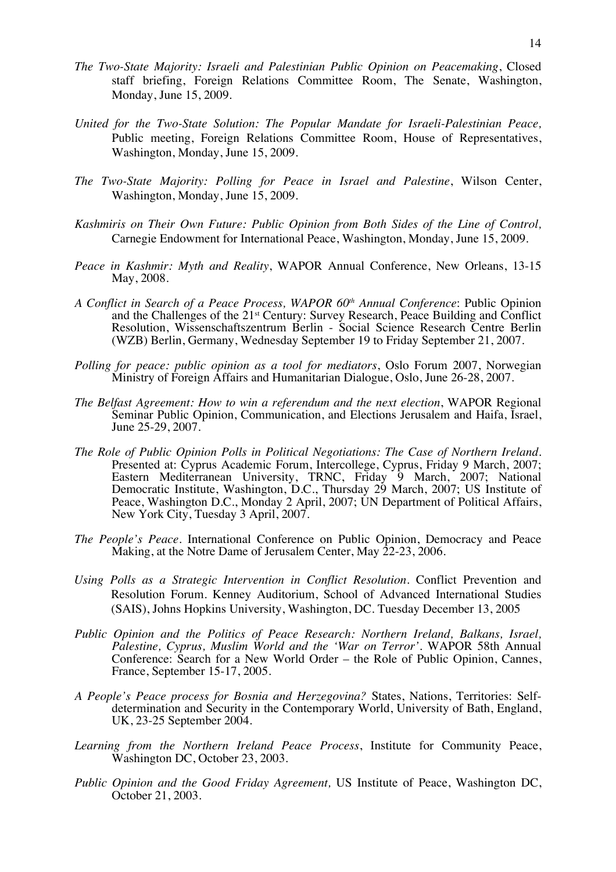- *The Two-State Majority: Israeli and Palestinian Public Opinion on Peacemaking*, Closed staff briefing, Foreign Relations Committee Room, The Senate, Washington, Monday, June 15, 2009.
- *United for the Two-State Solution: The Popular Mandate for Israeli-Palestinian Peace,*  Public meeting, Foreign Relations Committee Room, House of Representatives, Washington, Monday, June 15, 2009.
- *The Two-State Majority: Polling for Peace in Israel and Palestine*, Wilson Center, Washington, Monday, June 15, 2009.
- *Kashmiris on Their Own Future: Public Opinion from Both Sides of the Line of Control,* Carnegie Endowment for International Peace, Washington, Monday, June 15, 2009.
- *Peace in Kashmir: Myth and Reality*, WAPOR Annual Conference, New Orleans, 13-15 May, 2008.
- *A Conflict in Search of a Peace Process, WAPOR 60th Annual Conference*: Public Opinion and the Challenges of the 21st Century: Survey Research, Peace Building and Conflict Resolution, Wissenschaftszentrum Berlin - Social Science Research Centre Berlin (WZB) Berlin, Germany, Wednesday September 19 to Friday September 21, 2007.
- *Polling for peace: public opinion as a tool for mediators*, Oslo Forum 2007, Norwegian Ministry of Foreign Affairs and Humanitarian Dialogue, Oslo, June 26-28, 2007.
- *The Belfast Agreement: How to win a referendum and the next election*, WAPOR Regional Seminar Public Opinion, Communication, and Elections Jerusalem and Haifa, Israel, June 25-29, 2007.
- *The Role of Public Opinion Polls in Political Negotiations: The Case of Northern Ireland.*  Presented at: Cyprus Academic Forum, Intercollege, Cyprus, Friday 9 March, 2007; Eastern Mediterranean University, TRNC, Friday 9 March, 2007; National Democratic Institute, Washington, D.C., Thursday 29 March, 2007; US Institute of Peace, Washington D.C., Monday 2 April, 2007; UN Department of Political Affairs, New York City, Tuesday 3 April, 2007.
- *The People's Peace*. International Conference on Public Opinion, Democracy and Peace Making, at the Notre Dame of Jerusalem Center, May 22-23, 2006.
- *Using Polls as a Strategic Intervention in Conflict Resolution.* Conflict Prevention and Resolution Forum. Kenney Auditorium, School of Advanced International Studies (SAIS), Johns Hopkins University, Washington, DC. Tuesday December 13, 2005
- *Public Opinion and the Politics of Peace Research: Northern Ireland, Balkans, Israel, Palestine, Cyprus, Muslim World and the 'War on Terror'.* WAPOR 58th Annual Conference: Search for a New World Order – the Role of Public Opinion, Cannes, France, September 15-17, 2005.
- *A People's Peace process for Bosnia and Herzegovina?* States, Nations, Territories: Selfdetermination and Security in the Contemporary World, University of Bath, England, UK, 23-25 September 2004.
- *Learning from the Northern Ireland Peace Process*, Institute for Community Peace, Washington DC, October 23, 2003.
- *Public Opinion and the Good Friday Agreement,* US Institute of Peace, Washington DC, October 21, 2003.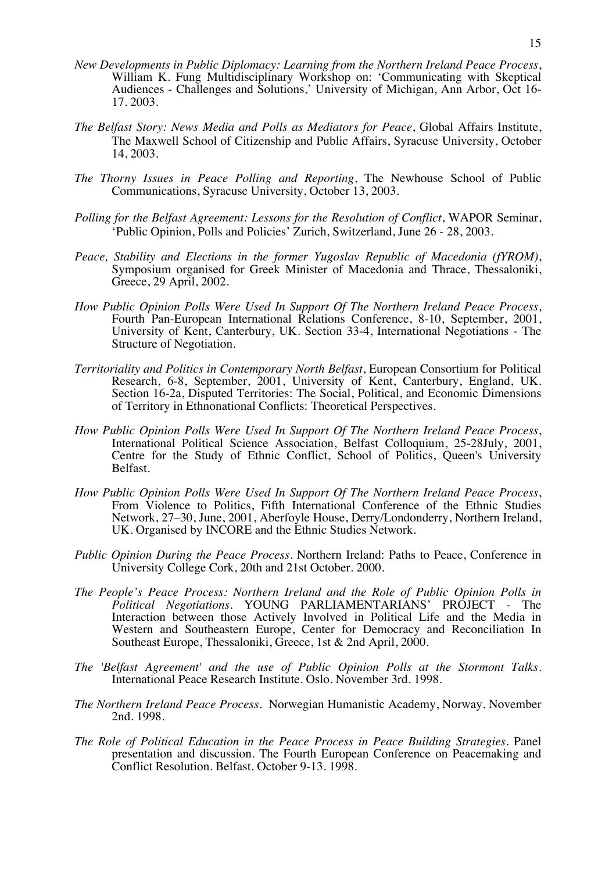- *New Developments in Public Diplomacy: Learning from the Northern Ireland Peace Process*, William K. Fung Multidisciplinary Workshop on: 'Communicating with Skeptical Audiences - Challenges and Solutions,' University of Michigan, Ann Arbor, Oct 16- 17. 2003.
- *The Belfast Story: News Media and Polls as Mediators for Peace*, Global Affairs Institute, The Maxwell School of Citizenship and Public Affairs, Syracuse University, October 14, 2003.
- *The Thorny Issues in Peace Polling and Reporting*, The Newhouse School of Public Communications, Syracuse University, October 13, 2003.
- *Polling for the Belfast Agreement: Lessons for the Resolution of Conflict*, WAPOR Seminar, 'Public Opinion, Polls and Policies' Zurich, Switzerland, June 26 - 28, 2003.
- *Peace, Stability and Elections in the former Yugoslav Republic of Macedonia (fYROM)*, Symposium organised for Greek Minister of Macedonia and Thrace, Thessaloniki, Greece, 29 April, 2002.
- *How Public Opinion Polls Were Used In Support Of The Northern Ireland Peace Process*, Fourth Pan-European International Relations Conference, 8-10, September, 2001, University of Kent, Canterbury, UK. Section 33-4, International Negotiations - The Structure of Negotiation*.*
- *Territoriality and Politics in Contemporary North Belfast*, European Consortium for Political Research, 6-8, September, 2001, University of Kent, Canterbury, England, UK. Section 16-2a, Disputed Territories: The Social, Political, and Economic Dimensions of Territory in Ethnonational Conflicts: Theoretical Perspectives.
- *How Public Opinion Polls Were Used In Support Of The Northern Ireland Peace Process*, International Political Science Association, Belfast Colloquium, 25-28July, 2001, Centre for the Study of Ethnic Conflict, School of Politics, Queen's University Belfast.
- *How Public Opinion Polls Were Used In Support Of The Northern Ireland Peace Process*, From Violence to Politics, Fifth International Conference of the Ethnic Studies Network, 27–30, June, 2001, Aberfoyle House, Derry/Londonderry, Northern Ireland, UK. Organised by INCORE and the Ethnic Studies Network.
- *Public Opinion During the Peace Process.* Northern Ireland: Paths to Peace, Conference in University College Cork, 20th and 21st October. 2000.
- *The People's Peace Process: Northern Ireland and the Role of Public Opinion Polls in Political Negotiations.* YOUNG PARLIAMENTARIANS' PROJECT - The Interaction between those Actively Involved in Political Life and the Media in Western and Southeastern Europe, Center for Democracy and Reconciliation In Southeast Europe, Thessaloniki, Greece, 1st & 2nd April, 2000.
- *The 'Belfast Agreement' and the use of Public Opinion Polls at the Stormont Talks*. International Peace Research Institute. Oslo. November 3rd. 1998.
- *The Northern Ireland Peace Process*. Norwegian Humanistic Academy, Norway. November 2nd. 1998.
- *The Role of Political Education in the Peace Process in Peace Building Strategies.* Panel presentation and discussion. The Fourth European Conference on Peacemaking and Conflict Resolution. Belfast. October 9-13. 1998.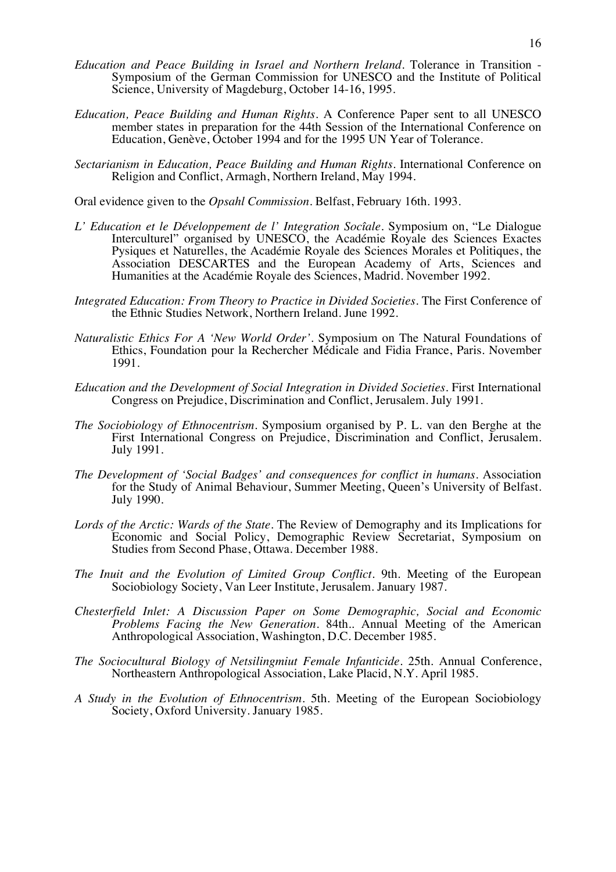- *Education and Peace Building in Israel and Northern Ireland.* Tolerance in Transition Symposium of the German Commission for UNESCO and the Institute of Political Science, University of Magdeburg, October 14-16, 1995.
- *Education, Peace Building and Human Rights.* A Conference Paper sent to all UNESCO member states in preparation for the 44th Session of the International Conference on Education, Genève, October 1994 and for the 1995 UN Year of Tolerance.
- *Sectarianism in Education, Peace Building and Human Rights.* International Conference on Religion and Conflict, Armagh, Northern Ireland, May 1994.

Oral evidence given to the *Opsahl Commission*. Belfast, February 16th. 1993.

- *L' Education et le Développement de l' Integration Socîale.* Symposium on, "Le Dialogue Interculturel" organised by UNESCO, the Académie Royale des Sciences Exactes Pysiques et Naturelles, the Académie Royale des Sciences Morales et Politiques, the Association DESCARTES and the European Academy of Arts, Sciences and Humanities at the Académie Royale des Sciences, Madrid. November 1992.
- *Integrated Education: From Theory to Practice in Divided Societies.* The First Conference of the Ethnic Studies Network, Northern Ireland. June 1992.
- *Naturalistic Ethics For A 'New World Order'.* Symposium on The Natural Foundations of Ethics, Foundation pour la Rechercher Médicale and Fidia France, Paris. November 1991.
- *Education and the Development of Social Integration in Divided Societies*. First International Congress on Prejudice, Discrimination and Conflict, Jerusalem. July 1991.
- *The Sociobiology of Ethnocentrism*. Symposium organised by P. L. van den Berghe at the First International Congress on Prejudice, Discrimination and Conflict, Jerusalem. July 1991.
- *The Development of 'Social Badges' and consequences for conflict in humans*. Association for the Study of Animal Behaviour, Summer Meeting, Queen's University of Belfast. July 1990.
- *Lords of the Arctic: Wards of the State.* The Review of Demography and its Implications for Economic and Social Policy, Demographic Review Secretariat, Symposium on Studies from Second Phase, Ottawa. December 1988.
- *The Inuit and the Evolution of Limited Group Conflict*. 9th. Meeting of the European Sociobiology Society, Van Leer Institute, Jerusalem. January 1987.
- *Chesterfield Inlet: A Discussion Paper on Some Demographic, Social and Economic Problems Facing the New Generation.* 84th.. Annual Meeting of the American Anthropological Association, Washington, D.C. December 1985.
- *The Sociocultural Biology of Netsilingmiut Female Infanticide.* 25th. Annual Conference, Northeastern Anthropological Association, Lake Placid, N.Y. April 1985.
- *A Study in the Evolution of Ethnocentrism.* 5th. Meeting of the European Sociobiology Society, Oxford University. January 1985.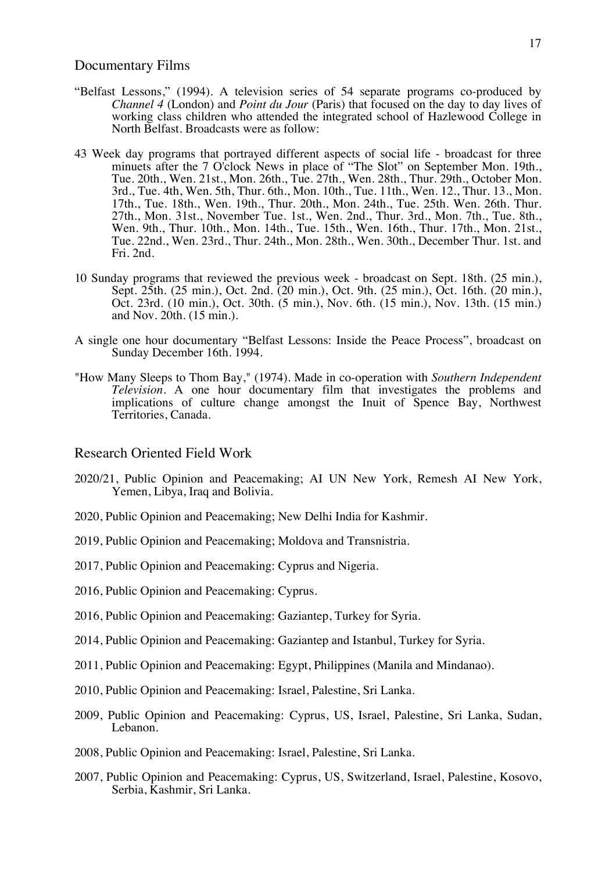### Documentary Films

- "Belfast Lessons," (1994). A television series of 54 separate programs co-produced by *Channel 4* (London) and *Point du Jour* (Paris) that focused on the day to day lives of working class children who attended the integrated school of Hazlewood College in North Belfast. Broadcasts were as follow:
- 43 Week day programs that portrayed different aspects of social life broadcast for three minuets after the 7 O'clock News in place of "The Slot" on September Mon. 19th., Tue. 20th., Wen. 21st., Mon. 26th., Tue. 27th., Wen. 28th., Thur. 29th., October Mon. 3rd., Tue. 4th, Wen. 5th, Thur. 6th., Mon. 10th., Tue. 11th., Wen. 12., Thur. 13., Mon. 17th., Tue. 18th., Wen. 19th., Thur. 20th., Mon. 24th., Tue. 25th. Wen. 26th. Thur. 27th., Mon. 31st., November Tue. 1st., Wen. 2nd., Thur. 3rd., Mon. 7th., Tue. 8th., Wen. 9th., Thur. 10th., Mon. 14th., Tue. 15th., Wen. 16th., Thur. 17th., Mon. 21st., Tue. 22nd., Wen. 23rd., Thur. 24th., Mon. 28th., Wen. 30th., December Thur. 1st. and Fri. 2nd.
- 10 Sunday programs that reviewed the previous week broadcast on Sept. 18th. (25 min.), Sept. 25th. (25 min.), Oct. 2nd. (20 min.), Oct. 9th. (25 min.), Oct. 16th. (20 min.), Oct. 23rd. (10 min.), Oct. 30th. (5 min.), Nov. 6th. (15 min.), Nov. 13th. (15 min.) and Nov. 20th. (15 min.).
- A single one hour documentary "Belfast Lessons: Inside the Peace Process", broadcast on Sunday December 16th. 1994.
- "How Many Sleeps to Thom Bay," (1974). Made in co-operation with *Southern Independent Television*. A one hour documentary film that investigates the problems and implications of culture change amongst the Inuit of Spence Bay, Northwest Territories, Canada.

## Research Oriented Field Work

- 2020/21, Public Opinion and Peacemaking; AI UN New York, Remesh AI New York, Yemen, Libya, Iraq and Bolivia.
- 2020, Public Opinion and Peacemaking; New Delhi India for Kashmir.
- 2019, Public Opinion and Peacemaking; Moldova and Transnistria.
- 2017, Public Opinion and Peacemaking: Cyprus and Nigeria.
- 2016, Public Opinion and Peacemaking: Cyprus.
- 2016, Public Opinion and Peacemaking: Gaziantep, Turkey for Syria.
- 2014, Public Opinion and Peacemaking: Gaziantep and Istanbul, Turkey for Syria.
- 2011, Public Opinion and Peacemaking: Egypt, Philippines (Manila and Mindanao).
- 2010, Public Opinion and Peacemaking: Israel, Palestine, Sri Lanka.
- 2009, Public Opinion and Peacemaking: Cyprus, US, Israel, Palestine, Sri Lanka, Sudan, Lebanon.
- 2008, Public Opinion and Peacemaking: Israel, Palestine, Sri Lanka.
- 2007, Public Opinion and Peacemaking: Cyprus, US, Switzerland, Israel, Palestine, Kosovo, Serbia, Kashmir, Sri Lanka.